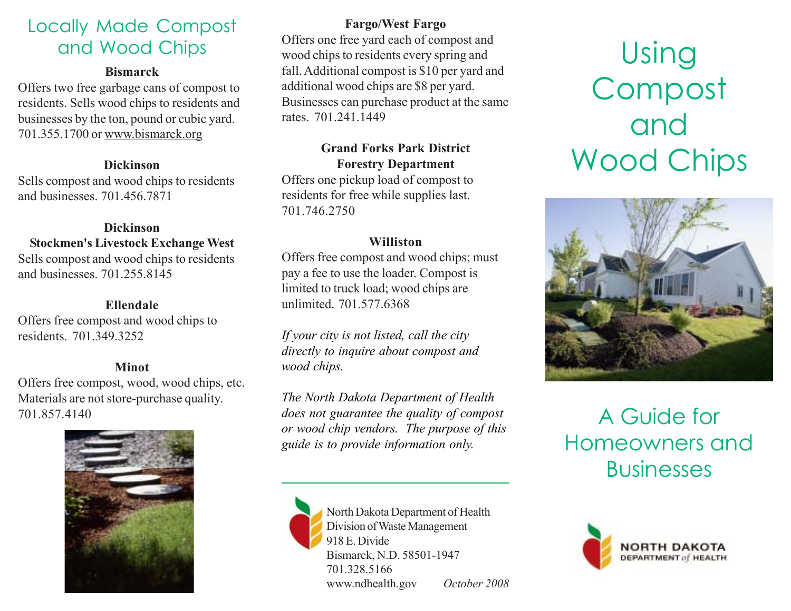## Locally Made Compost and Wood Chips

### **Bismarck**

Offers two free garbage cans of compost to residents. Sells wood chips to residents and businesses by the ton, pound or cubic yard. 701.355.1700 or www.bismarck.org

## **Dickinson**

Sells compost and wood chips to residents and businesses. 701.456.7871

### **Dickinson Stockmen's Livestock Exchange West** Sells compost and wood chips to residents and businesses. 701.255.8145

## **Ellendale**

Offers free compost and wood chips to residents. 701.349.3252

## **Minot**

Offers free compost, wood, wood chips, etc. Materials are not store-purchase quality.



## **Fargo/West Fargo**

Offers one free yard each of compost and wood chips to residents every spring and fall. Additional compost is \$10 per yard and additional wood chips are \$8 per yard. Businesses can purchase product at the same rates. 701.241.1449

## **Grand Forks Park District Forestry Department**

Offers one pickup load of compost to residents for free while supplies last. 701.746.2750

## **Williston**

Offers free compost and wood chips; must pay a fee to use the loader. Compost is limited to truck load; wood chips are unlimited. 701.577.6368

*If your city is not listed, call the city directly to inquire about compost and wood chips.*

701.857.4140 *does not guarantee the quality of compost* A Guide for *The North Dakota Department of Health or wood chip vendors. The purpose of this guide is to provide information only.*



North Dakota Department of Health Division of Waste Management 918 E. Divide Bismarck, N.D. 58501-1947 701.328.5166 www.ndhealth.gov *October 2008*

# Using Compost and Wood Chips



# Homeowners and **Businesses**